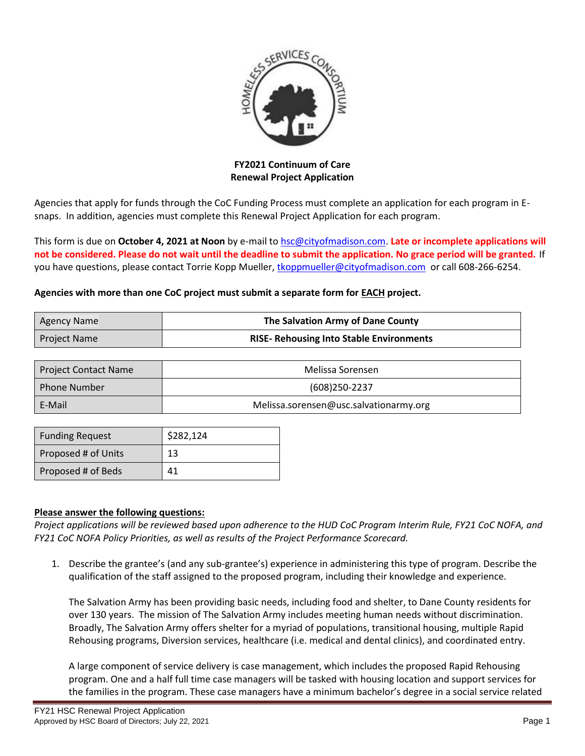

**FY2021 Continuum of Care Renewal Project Application**

Agencies that apply for funds through the CoC Funding Process must complete an application for each program in Esnaps. In addition, agencies must complete this Renewal Project Application for each program.

This form is due on **October 4, 2021 at Noon** by e-mail to [hsc@cityofmadison.com.](mailto:hsc@cityofmadison.com) **Late or incomplete applications will not be considered. Please do not wait until the deadline to submit the application. No grace period will be granted.** If you have questions, please contact Torrie Kopp Mueller, [tkoppmueller@cityofmadison.com](mailto:tkoppmueller@cityofmadison.com) or call 608-266-6254.

## **Agencies with more than one CoC project must submit a separate form for EACH project.**

| Agency Name         | The Salvation Army of Dane County               |  |  |
|---------------------|-------------------------------------------------|--|--|
| <b>Project Name</b> | <b>RISE- Rehousing Into Stable Environments</b> |  |  |

| <b>Project Contact Name</b> | Melissa Sorensen                       |  |
|-----------------------------|----------------------------------------|--|
| <b>Phone Number</b>         | (608)250-2237                          |  |
| E-Mail                      | Melissa.sorensen@usc.salvationarmy.org |  |

| <b>Funding Request</b> | \$282,124 |
|------------------------|-----------|
| Proposed # of Units    | 13        |
| Proposed # of Beds     | 41        |

## **Please answer the following questions:**

*Project applications will be reviewed based upon adherence to the HUD CoC Program Interim Rule, FY21 CoC NOFA, and FY21 CoC NOFA Policy Priorities, as well as results of the Project Performance Scorecard.*

1. Describe the grantee's (and any sub-grantee's) experience in administering this type of program. Describe the qualification of the staff assigned to the proposed program, including their knowledge and experience.

The Salvation Army has been providing basic needs, including food and shelter, to Dane County residents for over 130 years. The mission of The Salvation Army includes meeting human needs without discrimination. Broadly, The Salvation Army offers shelter for a myriad of populations, transitional housing, multiple Rapid Rehousing programs, Diversion services, healthcare (i.e. medical and dental clinics), and coordinated entry.

A large component of service delivery is case management, which includes the proposed Rapid Rehousing program. One and a half full time case managers will be tasked with housing location and support services for the families in the program. These case managers have a minimum bachelor's degree in a social service related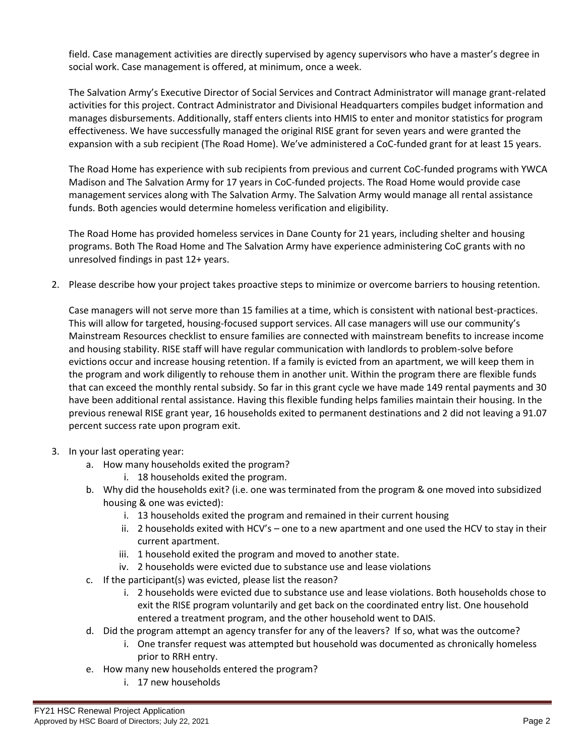field. Case management activities are directly supervised by agency supervisors who have a master's degree in social work. Case management is offered, at minimum, once a week.

The Salvation Army's Executive Director of Social Services and Contract Administrator will manage grant-related activities for this project. Contract Administrator and Divisional Headquarters compiles budget information and manages disbursements. Additionally, staff enters clients into HMIS to enter and monitor statistics for program effectiveness. We have successfully managed the original RISE grant for seven years and were granted the expansion with a sub recipient (The Road Home). We've administered a CoC-funded grant for at least 15 years.

The Road Home has experience with sub recipients from previous and current CoC-funded programs with YWCA Madison and The Salvation Army for 17 years in CoC-funded projects. The Road Home would provide case management services along with The Salvation Army. The Salvation Army would manage all rental assistance funds. Both agencies would determine homeless verification and eligibility.

The Road Home has provided homeless services in Dane County for 21 years, including shelter and housing programs. Both The Road Home and The Salvation Army have experience administering CoC grants with no unresolved findings in past 12+ years.

2. Please describe how your project takes proactive steps to minimize or overcome barriers to housing retention.

Case managers will not serve more than 15 families at a time, which is consistent with national best-practices. This will allow for targeted, housing-focused support services. All case managers will use our community's Mainstream Resources checklist to ensure families are connected with mainstream benefits to increase income and housing stability. RISE staff will have regular communication with landlords to problem-solve before evictions occur and increase housing retention. If a family is evicted from an apartment, we will keep them in the program and work diligently to rehouse them in another unit. Within the program there are flexible funds that can exceed the monthly rental subsidy. So far in this grant cycle we have made 149 rental payments and 30 have been additional rental assistance. Having this flexible funding helps families maintain their housing. In the previous renewal RISE grant year, 16 households exited to permanent destinations and 2 did not leaving a 91.07 percent success rate upon program exit.

- 3. In your last operating year:
	- a. How many households exited the program?
		- i. 18 households exited the program.
	- b. Why did the households exit? (i.e. one was terminated from the program & one moved into subsidized housing & one was evicted):
		- i. 13 households exited the program and remained in their current housing
		- ii. 2 households exited with HCV's one to a new apartment and one used the HCV to stay in their current apartment.
		- iii. 1 household exited the program and moved to another state.
		- iv. 2 households were evicted due to substance use and lease violations
	- c. If the participant(s) was evicted, please list the reason?
		- i. 2 households were evicted due to substance use and lease violations. Both households chose to exit the RISE program voluntarily and get back on the coordinated entry list. One household entered a treatment program, and the other household went to DAIS.
	- d. Did the program attempt an agency transfer for any of the leavers? If so, what was the outcome?
		- i. One transfer request was attempted but household was documented as chronically homeless prior to RRH entry.
	- e. How many new households entered the program?
		- i. 17 new households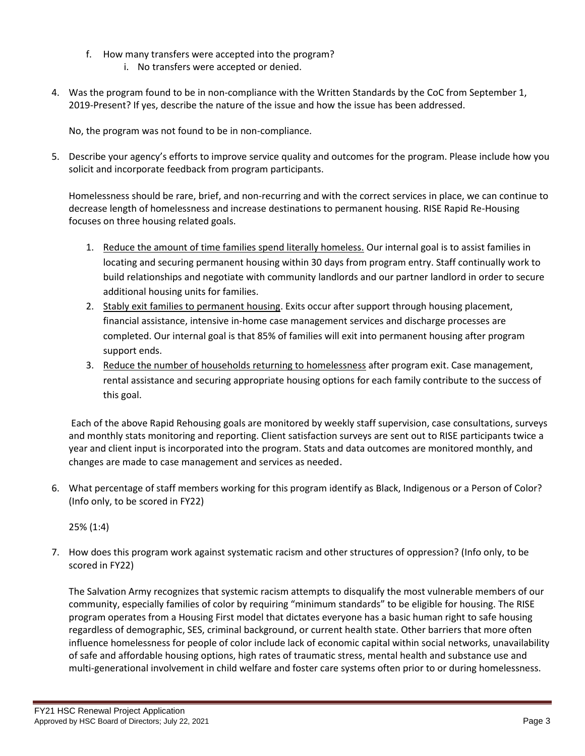- f. How many transfers were accepted into the program?
	- i. No transfers were accepted or denied.
- 4. Was the program found to be in non-compliance with the Written Standards by the CoC from September 1, 2019-Present? If yes, describe the nature of the issue and how the issue has been addressed.

No, the program was not found to be in non-compliance.

5. Describe your agency's efforts to improve service quality and outcomes for the program. Please include how you solicit and incorporate feedback from program participants.

Homelessness should be rare, brief, and non-recurring and with the correct services in place, we can continue to decrease length of homelessness and increase destinations to permanent housing. RISE Rapid Re-Housing focuses on three housing related goals.

- 1. Reduce the amount of time families spend literally homeless. Our internal goal is to assist families in locating and securing permanent housing within 30 days from program entry. Staff continually work to build relationships and negotiate with community landlords and our partner landlord in order to secure additional housing units for families.
- 2. Stably exit families to permanent housing. Exits occur after support through housing placement, financial assistance, intensive in-home case management services and discharge processes are completed. Our internal goal is that 85% of families will exit into permanent housing after program support ends.
- 3. Reduce the number of households returning to homelessness after program exit. Case management, rental assistance and securing appropriate housing options for each family contribute to the success of this goal.

Each of the above Rapid Rehousing goals are monitored by weekly staff supervision, case consultations, surveys and monthly stats monitoring and reporting. Client satisfaction surveys are sent out to RISE participants twice a year and client input is incorporated into the program. Stats and data outcomes are monitored monthly, and changes are made to case management and services as needed.

6. What percentage of staff members working for this program identify as Black, Indigenous or a Person of Color? (Info only, to be scored in FY22)

25% (1:4)

7. How does this program work against systematic racism and other structures of oppression? (Info only, to be scored in FY22)

The Salvation Army recognizes that systemic racism attempts to disqualify the most vulnerable members of our community, especially families of color by requiring "minimum standards" to be eligible for housing. The RISE program operates from a Housing First model that dictates everyone has a basic human right to safe housing regardless of demographic, SES, criminal background, or current health state. Other barriers that more often influence homelessness for people of color include lack of economic capital within social networks, unavailability of safe and affordable housing options, high rates of traumatic stress, mental health and substance use and multi-generational involvement in child welfare and foster care systems often prior to or during homelessness.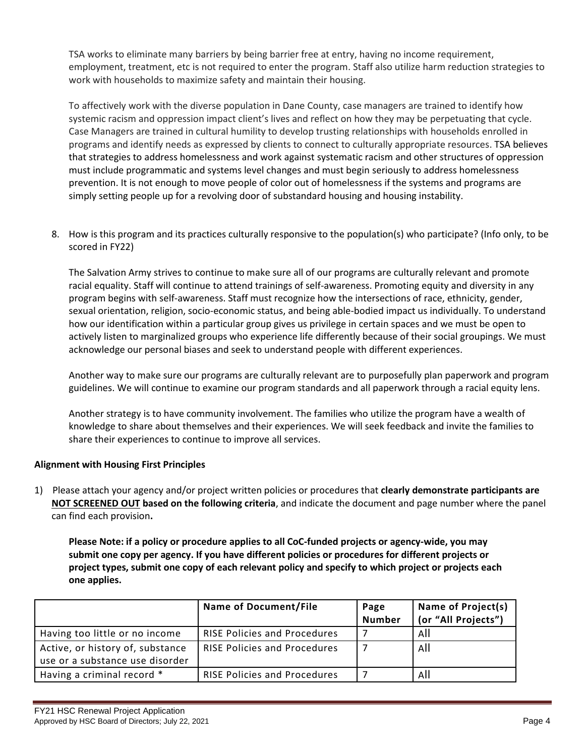TSA works to eliminate many barriers by being barrier free at entry, having no income requirement, employment, treatment, etc is not required to enter the program. Staff also utilize harm reduction strategies to work with households to maximize safety and maintain their housing.

To affectively work with the diverse population in Dane County, case managers are trained to identify how systemic racism and oppression impact client's lives and reflect on how they may be perpetuating that cycle. Case Managers are trained in cultural humility to develop trusting relationships with households enrolled in programs and identify needs as expressed by clients to connect to culturally appropriate resources. TSA believes that strategies to address homelessness and work against systematic racism and other structures of oppression must include programmatic and systems level changes and must begin seriously to address homelessness prevention. It is not enough to move people of color out of homelessness if the systems and programs are simply setting people up for a revolving door of substandard housing and housing instability.

8. How is this program and its practices culturally responsive to the population(s) who participate? (Info only, to be scored in FY22)

The Salvation Army strives to continue to make sure all of our programs are culturally relevant and promote racial equality. Staff will continue to attend trainings of self-awareness. Promoting equity and diversity in any program begins with self-awareness. Staff must recognize how the intersections of race, ethnicity, gender, sexual orientation, religion, socio-economic status, and being able-bodied impact us individually. To understand how our identification within a particular group gives us privilege in certain spaces and we must be open to actively listen to marginalized groups who experience life differently because of their social groupings. We must acknowledge our personal biases and seek to understand people with different experiences.

Another way to make sure our programs are culturally relevant are to purposefully plan paperwork and program guidelines. We will continue to examine our program standards and all paperwork through a racial equity lens.

Another strategy is to have community involvement. The families who utilize the program have a wealth of knowledge to share about themselves and their experiences. We will seek feedback and invite the families to share their experiences to continue to improve all services.

## **Alignment with Housing First Principles**

1) Please attach your agency and/or project written policies or procedures that **clearly demonstrate participants are NOT SCREENED OUT based on the following criteria**, and indicate the document and page number where the panel can find each provision**.** 

**Please Note: if a policy or procedure applies to all CoC-funded projects or agency-wide, you may submit one copy per agency. If you have different policies or procedures for different projects or project types, submit one copy of each relevant policy and specify to which project or projects each one applies.**

|                                                                     | <b>Name of Document/File</b>        | Page<br><b>Number</b> | Name of Project(s)<br>(or "All Projects") |
|---------------------------------------------------------------------|-------------------------------------|-----------------------|-------------------------------------------|
| Having too little or no income                                      | <b>RISE Policies and Procedures</b> |                       | All                                       |
| Active, or history of, substance<br>use or a substance use disorder | RISE Policies and Procedures        |                       | All                                       |
| Having a criminal record *                                          | <b>RISE Policies and Procedures</b> |                       | All                                       |